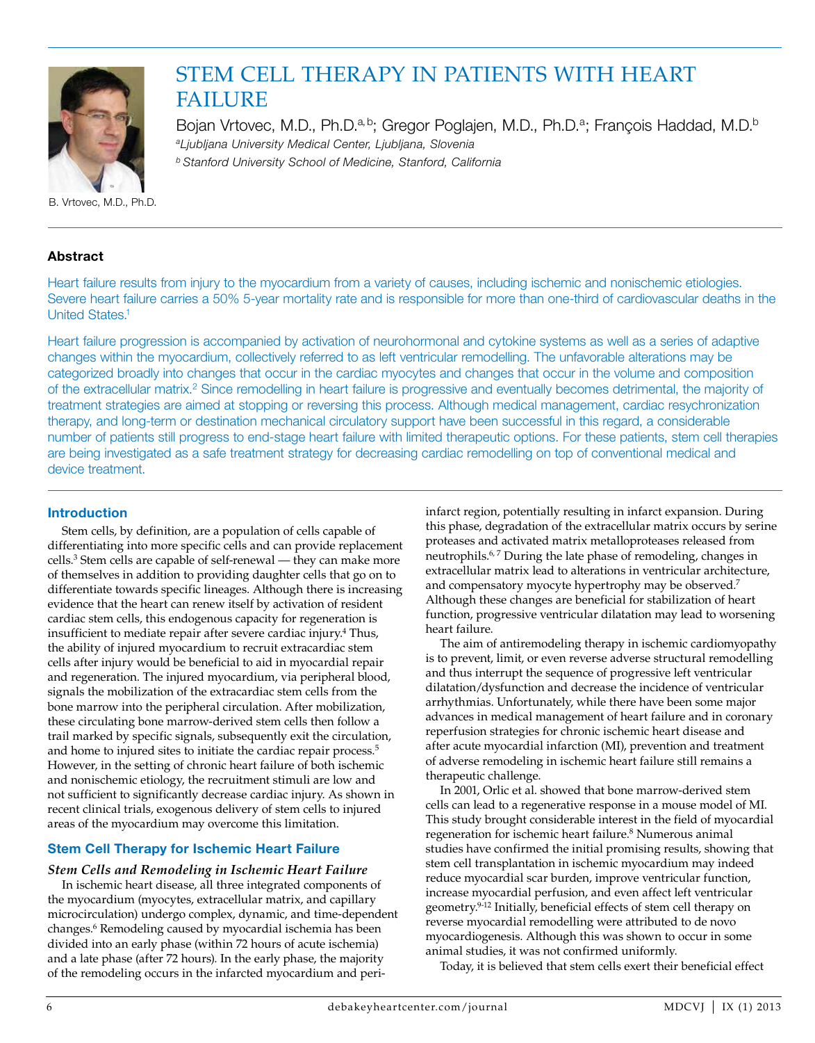

# Stem Cell Therapy in Patients with Heart **FAILURE**

Bojan Vrtovec, M.D., Ph.D.<sup>a, b</sup>; Gregor Poglajen, M.D., Ph.D.<sup>a</sup>; François Haddad, M.D.<sup>b</sup> *aLjubljana University Medical Center, Ljubljana, Slovenia b Stanford University School of Medicine, Stanford, California*

# B. Vrtovec, M.D., Ph.D.

#### **Abstract**

Heart failure results from injury to the myocardium from a variety of causes, including ischemic and nonischemic etiologies. Severe heart failure carries a 50% 5-year mortality rate and is responsible for more than one-third of cardiovascular deaths in the United States.1

Heart failure progression is accompanied by activation of neurohormonal and cytokine systems as well as a series of adaptive changes within the myocardium, collectively referred to as left ventricular remodelling. The unfavorable alterations may be categorized broadly into changes that occur in the cardiac myocytes and changes that occur in the volume and composition of the extracellular matrix.<sup>2</sup> Since remodelling in heart failure is progressive and eventually becomes detrimental, the majority of treatment strategies are aimed at stopping or reversing this process. Although medical management, cardiac resychronization therapy, and long-term or destination mechanical circulatory support have been successful in this regard, a considerable number of patients still progress to end-stage heart failure with limited therapeutic options. For these patients, stem cell therapies are being investigated as a safe treatment strategy for decreasing cardiac remodelling on top of conventional medical and device treatment.

#### **Introduction**

Stem cells, by definition, are a population of cells capable of differentiating into more specific cells and can provide replacement cells.3 Stem cells are capable of self-renewal — they can make more of themselves in addition to providing daughter cells that go on to differentiate towards specific lineages. Although there is increasing evidence that the heart can renew itself by activation of resident cardiac stem cells, this endogenous capacity for regeneration is insufficient to mediate repair after severe cardiac injury.4 Thus, the ability of injured myocardium to recruit extracardiac stem cells after injury would be beneficial to aid in myocardial repair and regeneration. The injured myocardium, via peripheral blood, signals the mobilization of the extracardiac stem cells from the bone marrow into the peripheral circulation. After mobilization, these circulating bone marrow-derived stem cells then follow a trail marked by specific signals, subsequently exit the circulation, and home to injured sites to initiate the cardiac repair process.<sup>5</sup> However, in the setting of chronic heart failure of both ischemic and nonischemic etiology, the recruitment stimuli are low and not sufficient to significantly decrease cardiac injury. As shown in recent clinical trials, exogenous delivery of stem cells to injured areas of the myocardium may overcome this limitation.

## **Stem Cell Therapy for Ischemic Heart Failure**

#### *Stem Cells and Remodeling in Ischemic Heart Failure*

In ischemic heart disease, all three integrated components of the myocardium (myocytes, extracellular matrix, and capillary microcirculation) undergo complex, dynamic, and time-dependent changes.6 Remodeling caused by myocardial ischemia has been divided into an early phase (within 72 hours of acute ischemia) and a late phase (after 72 hours). In the early phase, the majority of the remodeling occurs in the infarcted myocardium and periinfarct region, potentially resulting in infarct expansion. During this phase, degradation of the extracellular matrix occurs by serine proteases and activated matrix metalloproteases released from neutrophils.<sup>6,7</sup> During the late phase of remodeling, changes in extracellular matrix lead to alterations in ventricular architecture, and compensatory myocyte hypertrophy may be observed.<sup>7</sup> Although these changes are beneficial for stabilization of heart function, progressive ventricular dilatation may lead to worsening heart failure.

The aim of antiremodeling therapy in ischemic cardiomyopathy is to prevent, limit, or even reverse adverse structural remodelling and thus interrupt the sequence of progressive left ventricular dilatation/dysfunction and decrease the incidence of ventricular arrhythmias. Unfortunately, while there have been some major advances in medical management of heart failure and in coronary reperfusion strategies for chronic ischemic heart disease and after acute myocardial infarction (MI), prevention and treatment of adverse remodeling in ischemic heart failure still remains a therapeutic challenge.

In 2001, Orlic et al. showed that bone marrow-derived stem cells can lead to a regenerative response in a mouse model of MI. This study brought considerable interest in the field of myocardial regeneration for ischemic heart failure.8 Numerous animal studies have confirmed the initial promising results, showing that stem cell transplantation in ischemic myocardium may indeed reduce myocardial scar burden, improve ventricular function, increase myocardial perfusion, and even affect left ventricular geometry.9-12 Initially, beneficial effects of stem cell therapy on reverse myocardial remodelling were attributed to de novo myocardiogenesis. Although this was shown to occur in some animal studies, it was not confirmed uniformly.

Today, it is believed that stem cells exert their beneficial effect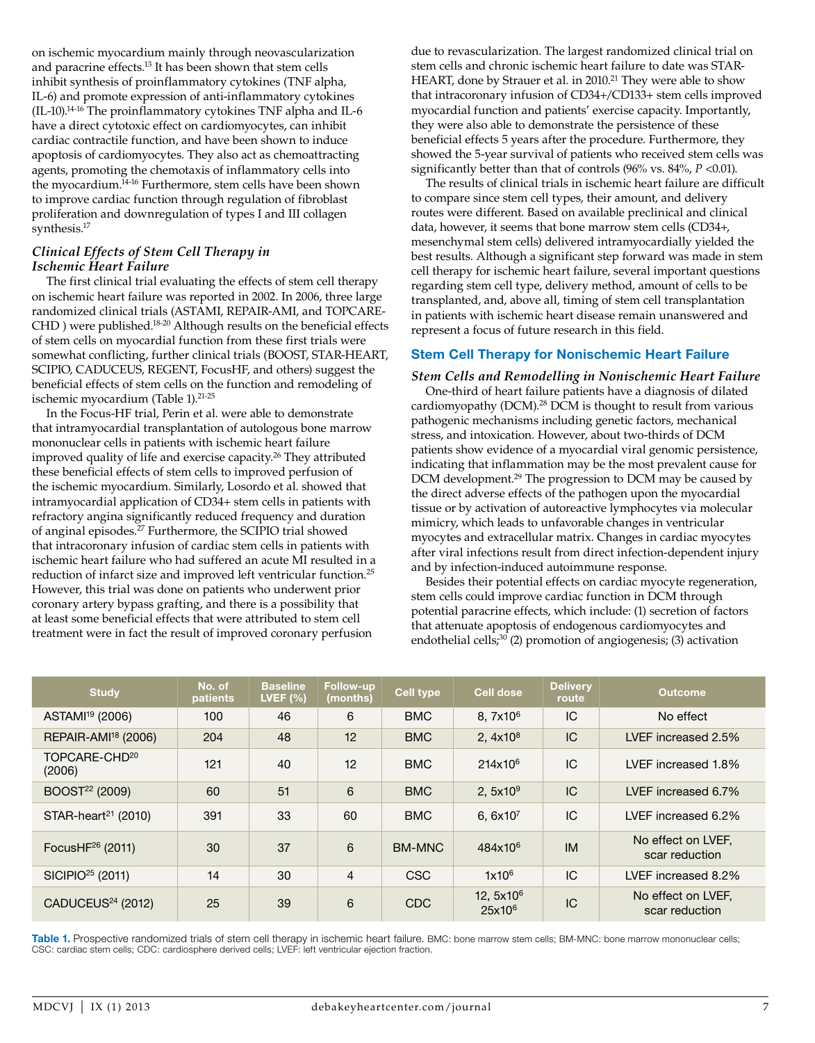on ischemic myocardium mainly through neovascularization and paracrine effects.13 It has been shown that stem cells inhibit synthesis of proinflammatory cytokines (TNF alpha, IL-6) and promote expression of anti-inflammatory cytokines (IL-10).14-16 The proinflammatory cytokines TNF alpha and IL-6 have a direct cytotoxic effect on cardiomyocytes, can inhibit cardiac contractile function, and have been shown to induce apoptosis of cardiomyocytes. They also act as chemoattracting agents, promoting the chemotaxis of inflammatory cells into the myocardium.14-16 Furthermore, stem cells have been shown to improve cardiac function through regulation of fibroblast proliferation and downregulation of types I and III collagen synthesis.17

## *Clinical Effects of Stem Cell Therapy in Ischemic Heart Failure*

The first clinical trial evaluating the effects of stem cell therapy on ischemic heart failure was reported in 2002. In 2006, three large randomized clinical trials (ASTAMI, REPAIR-AMI, and TOPCARE-CHD ) were published.18-20 Although results on the beneficial effects of stem cells on myocardial function from these first trials were somewhat conflicting, further clinical trials (BOOST, STAR-HEART, SCIPIO, CADUCEUS, REGENT, FocusHF, and others) suggest the beneficial effects of stem cells on the function and remodeling of ischemic myocardium (Table 1).<sup>21-25</sup>

In the Focus-HF trial, Perin et al. were able to demonstrate that intramyocardial transplantation of autologous bone marrow mononuclear cells in patients with ischemic heart failure improved quality of life and exercise capacity.<sup>26</sup> They attributed these beneficial effects of stem cells to improved perfusion of the ischemic myocardium. Similarly, Losordo et al. showed that intramyocardial application of CD34+ stem cells in patients with refractory angina significantly reduced frequency and duration of anginal episodes.27 Furthermore, the SCIPIO trial showed that intracoronary infusion of cardiac stem cells in patients with ischemic heart failure who had suffered an acute MI resulted in a reduction of infarct size and improved left ventricular function.25 However, this trial was done on patients who underwent prior coronary artery bypass grafting, and there is a possibility that at least some beneficial effects that were attributed to stem cell treatment were in fact the result of improved coronary perfusion

due to revascularization. The largest randomized clinical trial on stem cells and chronic ischemic heart failure to date was STAR-HEART, done by Strauer et al. in 2010.<sup>21</sup> They were able to show that intracoronary infusion of CD34+/CD133+ stem cells improved myocardial function and patients' exercise capacity. Importantly, they were also able to demonstrate the persistence of these beneficial effects 5 years after the procedure. Furthermore, they showed the 5-year survival of patients who received stem cells was significantly better than that of controls (96% vs. 84%, *P* <0.01).

The results of clinical trials in ischemic heart failure are difficult to compare since stem cell types, their amount, and delivery routes were different. Based on available preclinical and clinical data, however, it seems that bone marrow stem cells (CD34+, mesenchymal stem cells) delivered intramyocardially yielded the best results. Although a significant step forward was made in stem cell therapy for ischemic heart failure, several important questions regarding stem cell type, delivery method, amount of cells to be transplanted, and, above all, timing of stem cell transplantation in patients with ischemic heart disease remain unanswered and represent a focus of future research in this field.

## **Stem Cell Therapy for Nonischemic Heart Failure**

*Stem Cells and Remodelling in Nonischemic Heart Failure*

One-third of heart failure patients have a diagnosis of dilated cardiomyopathy (DCM).<sup>28</sup> DCM is thought to result from various pathogenic mechanisms including genetic factors, mechanical stress, and intoxication. However, about two-thirds of DCM patients show evidence of a myocardial viral genomic persistence, indicating that inflammation may be the most prevalent cause for DCM development.<sup>29</sup> The progression to DCM may be caused by the direct adverse effects of the pathogen upon the myocardial tissue or by activation of autoreactive lymphocytes via molecular mimicry, which leads to unfavorable changes in ventricular myocytes and extracellular matrix. Changes in cardiac myocytes after viral infections result from direct infection-dependent injury and by infection-induced autoimmune response.

Besides their potential effects on cardiac myocyte regeneration, stem cells could improve cardiac function in DCM through potential paracrine effects, which include: (1) secretion of factors that attenuate apoptosis of endogenous cardiomyocytes and endothelial cells; $30$  (2) promotion of angiogenesis; (3) activation

| <b>Study</b>                        | No. of<br><b>patients</b> | <b>Baseline</b><br>LVEF $(%)$ | <b>Follow-up</b><br>(months) | Cell type     | Cell dose                 | <b>Delivery</b><br>route | <b>Outcome</b>                       |
|-------------------------------------|---------------------------|-------------------------------|------------------------------|---------------|---------------------------|--------------------------|--------------------------------------|
| ASTAMI <sup>19</sup> (2006)         | 100                       | 46                            | 6                            | <b>BMC</b>    | $8.7x10^6$                | IC                       | No effect                            |
| REPAIR-AMI <sup>18</sup> (2006)     | 204                       | 48                            | 12                           | <b>BMC</b>    | 2, $4 \times 10^8$        | IC.                      | LVEF increased 2.5%                  |
| TOPCARE-CHD <sup>20</sup><br>(2006) | 121                       | 40                            | 12                           | <b>BMC</b>    | $214x10^6$                | IC                       | LVEF increased 1.8%                  |
| BOOST <sup>22</sup> (2009)          | 60                        | 51                            | 6                            | <b>BMC</b>    | 2.5 $x10^9$               | IC                       | LVEF increased 6.7%                  |
| $STAR$ -heart <sup>21</sup> (2010)  | 391                       | 33                            | 60                           | <b>BMC</b>    | 6, $6x10^7$               | IC                       | LVEF increased 6.2%                  |
| FocusH $F^{26}$ (2011)              | 30                        | 37                            | 6                            | <b>BM-MNC</b> | 484x10 <sup>6</sup>       | <b>IM</b>                | No effect on LVEF,<br>scar reduction |
| $SICIPIO25$ (2011)                  | 14                        | 30                            | $\overline{4}$               | <b>CSC</b>    | $1x10^6$                  | IC                       | LVEF increased 8.2%                  |
| CADUCEUS <sup>24</sup> (2012)       | 25                        | 39                            | 6                            | CDC           | 12, $5x10^6$<br>$25x10^6$ | IC.                      | No effect on LVEF,<br>scar reduction |

**Table 1.** Prospective randomized trials of stem cell therapy in ischemic heart failure. BMC: bone marrow stem cells; BM-MNC: bone marrow mononuclear cells; CSC: cardiac stem cells; CDC: cardiosphere derived cells; LVEF: left ventricular ejection fraction.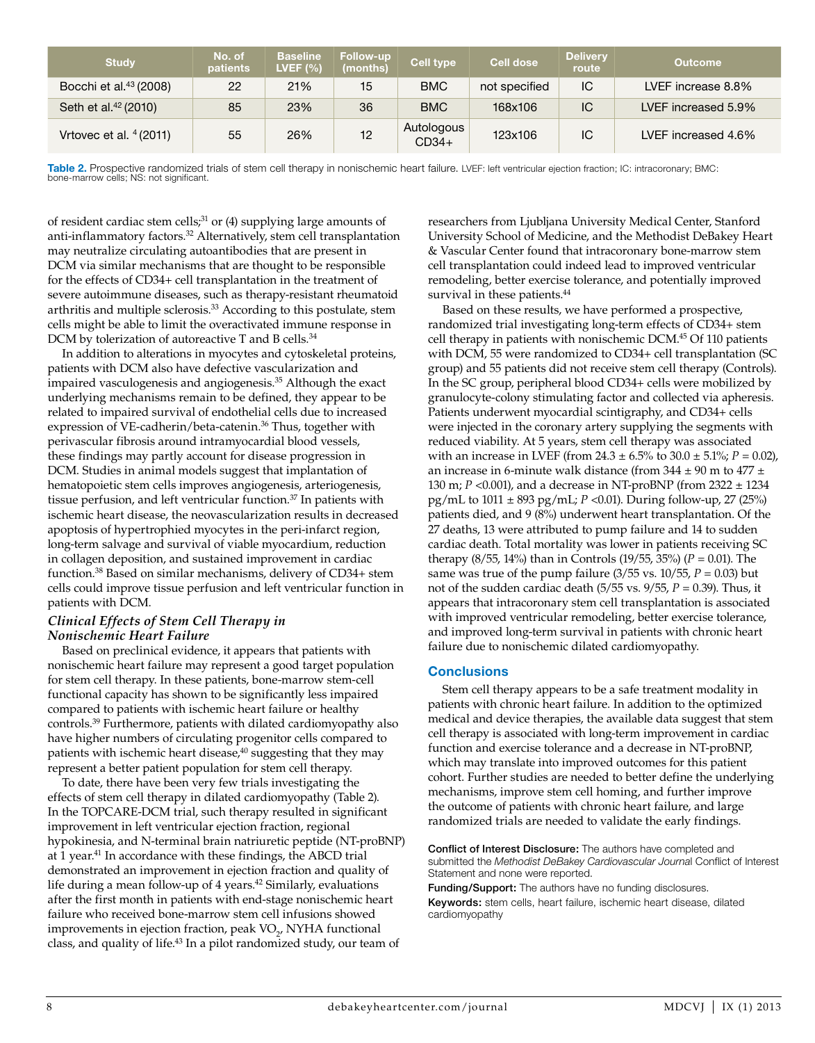| <b>Study</b>                       | No. of<br>patients | <b>Baseline</b><br>LVEF $(\% )$ | Follow-up<br>(months) | <b>Cell type</b>      | <b>Cell dose</b> | <b>Delivery</b><br>route | <b>Outcome</b>      |
|------------------------------------|--------------------|---------------------------------|-----------------------|-----------------------|------------------|--------------------------|---------------------|
| Bocchi et al. <sup>43</sup> (2008) | 22                 | 21%                             | 15                    | <b>BMC</b>            | not specified    | IC                       | LVEF increase 8.8%  |
| Seth et al. <sup>42</sup> (2010)   | 85                 | 23%                             | 36                    | <b>BMC</b>            | 168x106          | IC                       | LVEF increased 5.9% |
| Vrtovec et al. $4(2011)$           | 55                 | 26%                             | 12                    | Autologous<br>$CD34+$ | 123x106          | IС                       | LVEF increased 4.6% |

Table 2. Prospective randomized trials of stem cell therapy in nonischemic heart failure. LVEF: left ventricular ejection fraction; IC: intracoronary; BMC: bone-marrow cells; NS: not significant.

of resident cardiac stem cells; $31$  or (4) supplying large amounts of anti-inflammatory factors.<sup>32</sup> Alternatively, stem cell transplantation may neutralize circulating autoantibodies that are present in DCM via similar mechanisms that are thought to be responsible for the effects of CD34+ cell transplantation in the treatment of severe autoimmune diseases, such as therapy-resistant rheumatoid arthritis and multiple sclerosis.33 According to this postulate, stem cells might be able to limit the overactivated immune response in DCM by tolerization of autoreactive T and B cells.<sup>34</sup>

In addition to alterations in myocytes and cytoskeletal proteins, patients with DCM also have defective vascularization and impaired vasculogenesis and angiogenesis.35 Although the exact underlying mechanisms remain to be defined, they appear to be related to impaired survival of endothelial cells due to increased expression of VE-cadherin/beta-catenin.<sup>36</sup> Thus, together with perivascular fibrosis around intramyocardial blood vessels, these findings may partly account for disease progression in DCM. Studies in animal models suggest that implantation of hematopoietic stem cells improves angiogenesis, arteriogenesis, tissue perfusion, and left ventricular function.<sup>37</sup> In patients with ischemic heart disease, the neovascularization results in decreased apoptosis of hypertrophied myocytes in the peri-infarct region, long-term salvage and survival of viable myocardium, reduction in collagen deposition, and sustained improvement in cardiac function.38 Based on similar mechanisms, delivery of CD34+ stem cells could improve tissue perfusion and left ventricular function in patients with DCM.

#### *Clinical Effects of Stem Cell Therapy in Nonischemic Heart Failure*

Based on preclinical evidence, it appears that patients with nonischemic heart failure may represent a good target population for stem cell therapy. In these patients, bone-marrow stem-cell functional capacity has shown to be significantly less impaired compared to patients with ischemic heart failure or healthy controls.39 Furthermore, patients with dilated cardiomyopathy also have higher numbers of circulating progenitor cells compared to patients with ischemic heart disease,<sup>40</sup> suggesting that they may represent a better patient population for stem cell therapy.

To date, there have been very few trials investigating the effects of stem cell therapy in dilated cardiomyopathy (Table 2). In the TOPCARE-DCM trial, such therapy resulted in significant improvement in left ventricular ejection fraction, regional hypokinesia, and N-terminal brain natriuretic peptide (NT-proBNP) at 1 year.<sup>41</sup> In accordance with these findings, the ABCD trial demonstrated an improvement in ejection fraction and quality of life during a mean follow-up of 4 years.<sup>42</sup> Similarly, evaluations after the first month in patients with end-stage nonischemic heart failure who received bone-marrow stem cell infusions showed improvements in ejection fraction, peak  $VO_{2}$ , NYHA functional class, and quality of life.43 In a pilot randomized study, our team of

researchers from Ljubljana University Medical Center, Stanford University School of Medicine, and the Methodist DeBakey Heart & Vascular Center found that intracoronary bone-marrow stem cell transplantation could indeed lead to improved ventricular remodeling, better exercise tolerance, and potentially improved survival in these patients.<sup>44</sup>

Based on these results, we have performed a prospective, randomized trial investigating long-term effects of CD34+ stem cell therapy in patients with nonischemic DCM.45 Of 110 patients with DCM, 55 were randomized to CD34+ cell transplantation (SC group) and 55 patients did not receive stem cell therapy (Controls). In the SC group, peripheral blood CD34+ cells were mobilized by granulocyte-colony stimulating factor and collected via apheresis. Patients underwent myocardial scintigraphy, and CD34+ cells were injected in the coronary artery supplying the segments with reduced viability. At 5 years, stem cell therapy was associated with an increase in LVEF (from  $24.3 \pm 6.5\%$  to  $30.0 \pm 5.1\%$ ;  $P = 0.02$ ), an increase in 6-minute walk distance (from  $344 \pm 90$  m to  $477 \pm 10$ 130 m; *P* <0.001), and a decrease in NT-proBNP (from 2322 ± 1234 pg/mL to 1011 ± 893 pg/mL; *P* <0.01). During follow-up, 27 (25%) patients died, and 9 (8%) underwent heart transplantation. Of the 27 deaths, 13 were attributed to pump failure and 14 to sudden cardiac death. Total mortality was lower in patients receiving SC therapy (8/55, 14%) than in Controls (19/55, 35%) (*P* = 0.01). The same was true of the pump failure  $(3/55 \text{ vs. } 10/55, P = 0.03)$  but not of the sudden cardiac death (5/55 vs. 9/55, *P* = 0.39). Thus, it appears that intracoronary stem cell transplantation is associated with improved ventricular remodeling, better exercise tolerance, and improved long-term survival in patients with chronic heart failure due to nonischemic dilated cardiomyopathy.

# **Conclusions**

Stem cell therapy appears to be a safe treatment modality in patients with chronic heart failure. In addition to the optimized medical and device therapies, the available data suggest that stem cell therapy is associated with long-term improvement in cardiac function and exercise tolerance and a decrease in NT-proBNP, which may translate into improved outcomes for this patient cohort. Further studies are needed to better define the underlying mechanisms, improve stem cell homing, and further improve the outcome of patients with chronic heart failure, and large randomized trials are needed to validate the early findings.

Conflict of Interest Disclosure: The authors have completed and submitted the *Methodist DeBakey Cardiovascular Journa*l Conflict of Interest Statement and none were reported.

Funding/Support: The authors have no funding disclosures. Keywords: stem cells, heart failure, ischemic heart disease, dilated cardiomyopathy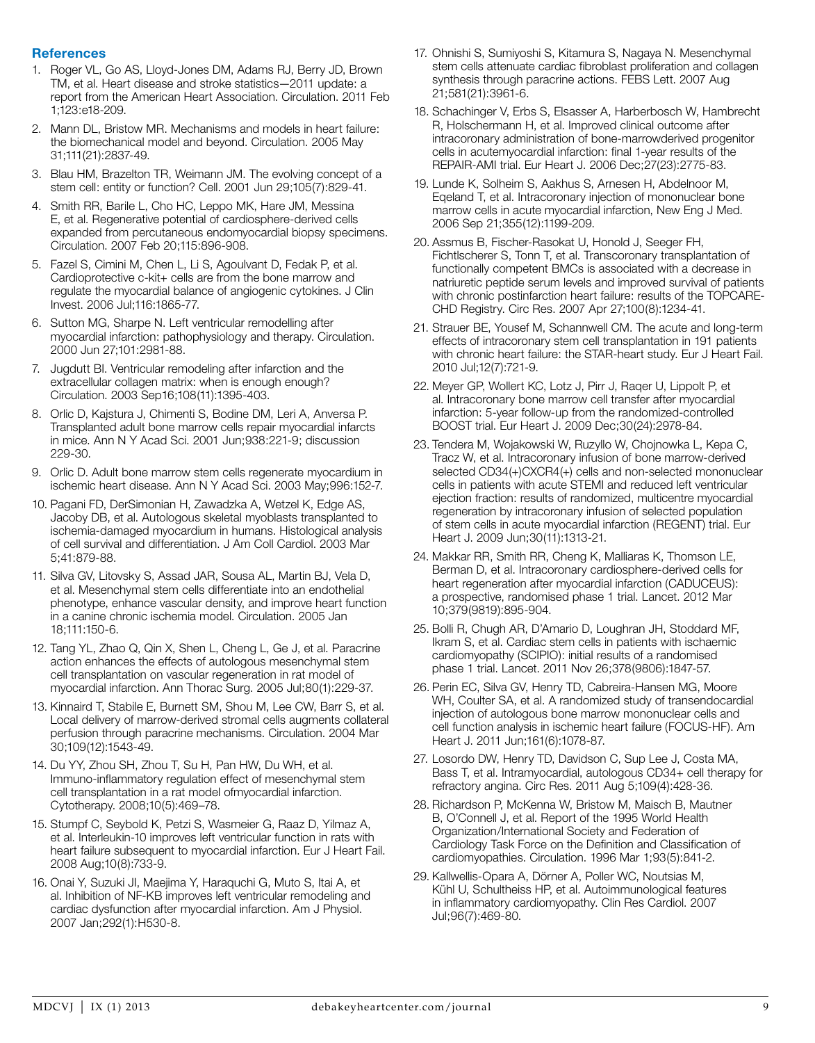# **References**

- 1. Roger VL, Go AS, Lloyd-Jones DM, Adams RJ, Berry JD, Brown TM, et al. Heart disease and stroke statistics—2011 update: a report from the American Heart Association. Circulation. 2011 Feb 1;123:e18-209.
- 2. Mann DL, Bristow MR. Mechanisms and models in heart failure: the biomechanical model and beyond. Circulation. 2005 May 31;111(21):2837-49.
- 3. Blau HM, Brazelton TR, Weimann JM. The evolving concept of a stem cell: entity or function? Cell. 2001 Jun 29;105(7):829-41.
- 4. Smith RR, Barile L, Cho HC, Leppo MK, Hare JM, Messina E, et al. Regenerative potential of cardiosphere-derived cells expanded from percutaneous endomyocardial biopsy specimens. Circulation. 2007 Feb 20;115:896-908.
- 5. Fazel S, Cimini M, Chen L, Li S, Agoulvant D, Fedak P, et al. Cardioprotective c-kit+ cells are from the bone marrow and regulate the myocardial balance of angiogenic cytokines. J Clin Invest. 2006 Jul;116:1865-77.
- 6. Sutton MG, Sharpe N. Left ventricular remodelling after myocardial infarction: pathophysiology and therapy. Circulation. 2000 Jun 27;101:2981-88.
- 7. Jugdutt BI. Ventricular remodeling after infarction and the extracellular collagen matrix: when is enough enough? Circulation. 2003 Sep 16;108(11):1395-403.
- 8. Orlic D, Kajstura J, Chimenti S, Bodine DM, Leri A, Anversa P. Transplanted adult bone marrow cells repair myocardial infarcts in mice. Ann N Y Acad Sci. 2001 Jun;938:221-9; discussion 229-30.
- 9. Orlic D. Adult bone marrow stem cells regenerate myocardium in ischemic heart disease. Ann N Y Acad Sci. 2003 May;996:152-7.
- 10. Pagani FD, DerSimonian H, Zawadzka A, Wetzel K, Edge AS, Jacoby DB, et al. Autologous skeletal myoblasts transplanted to ischemia-damaged myocardium in humans. Histological analysis of cell survival and differentiation. J Am Coll Cardiol. 2003 Mar 5;41:879-88.
- 11. Silva GV, Litovsky S, Assad JAR, Sousa AL, Martin BJ, Vela D, et al. Mesenchymal stem cells differentiate into an endothelial phenotype, enhance vascular density, and improve heart function in a canine chronic ischemia model. Circulation. 2005 Jan 18;111:150-6.
- 12. Tang YL, Zhao Q, Qin X, Shen L, Cheng L, Ge J, et al. Paracrine action enhances the effects of autologous mesenchymal stem cell transplantation on vascular regeneration in rat model of myocardial infarction. Ann Thorac Surg. 2005 Jul;80(1):229-37.
- 13. Kinnaird T, Stabile E, Burnett SM, Shou M, Lee CW, Barr S, et al. Local delivery of marrow-derived stromal cells augments collateral perfusion through paracrine mechanisms. Circulation. 2004 Mar 30;109(12):1543-49.
- 14. Du YY, Zhou SH, Zhou T, Su H, Pan HW, Du WH, et al. Immuno-inflammatory regulation effect of mesenchymal stem cell transplantation in a rat model ofmyocardial infarction. Cytotherapy. 2008;10(5):469–78.
- 15. Stumpf C, Seybold K, Petzi S, Wasmeier G, Raaz D, Yilmaz A, et al. Interleukin-10 improves left ventricular function in rats with heart failure subsequent to myocardial infarction. Eur J Heart Fail. 2008 Aug;10(8):733-9.
- 16. Onai Y, Suzuki JI, Maejima Y, Haraquchi G, Muto S, Itai A, et al. Inhibition of NF-KB improves left ventricular remodeling and cardiac dysfunction after myocardial infarction. Am J Physiol. 2007 Jan;292(1):H530-8.
- 17. Ohnishi S, Sumiyoshi S, Kitamura S, Nagaya N. Mesenchymal stem cells attenuate cardiac fibroblast proliferation and collagen synthesis through paracrine actions. FEBS Lett. 2007 Aug 21;581(21):3961-6.
- 18. Schachinger V, Erbs S, Elsasser A, Harberbosch W, Hambrecht R, Holschermann H, et al. Improved clinical outcome after intracoronary administration of bone-marrowderived progenitor cells in acutemyocardial infarction: final 1-year results of the REPAIR-AMI trial. Eur Heart J. 2006 Dec;27(23):2775-83.
- 19. Lunde K, Solheim S, Aakhus S, Arnesen H, Abdelnoor M, Eqeland T, et al. Intracoronary injection of mononuclear bone marrow cells in acute myocardial infarction, New Eng J Med. 2006 Sep 21;355(12):1199-209.
- 20. Assmus B, Fischer-Rasokat U, Honold J, Seeger FH, Fichtlscherer S, Tonn T, et al. Transcoronary transplantation of functionally competent BMCs is associated with a decrease in natriuretic peptide serum levels and improved survival of patients with chronic postinfarction heart failure: results of the TOPCARE-CHD Registry. Circ Res. 2007 Apr 27;100(8):1234-41.
- 21. Strauer BE, Yousef M, Schannwell CM. The acute and long-term effects of intracoronary stem cell transplantation in 191 patients with chronic heart failure: the STAR-heart study. Eur J Heart Fail. 2010 Jul;12(7):721-9.
- 22. Meyer GP, Wollert KC, Lotz J, Pirr J, Raqer U, Lippolt P, et al. Intracoronary bone marrow cell transfer after myocardial infarction: 5-year follow-up from the randomized-controlled BOOST trial. Eur Heart J. 2009 Dec;30(24):2978-84.
- 23. Tendera M, Wojakowski W, Ruzyllo W, Chojnowka L, Kepa C, Tracz W, et al. Intracoronary infusion of bone marrow-derived selected CD34(+)CXCR4(+) cells and non-selected mononuclear cells in patients with acute STEMI and reduced left ventricular ejection fraction: results of randomized, multicentre myocardial regeneration by intracoronary infusion of selected population of stem cells in acute myocardial infarction (REGENT) trial. Eur Heart J. 2009 Jun;30(11):1313-21.
- 24. Makkar RR, Smith RR, Cheng K, Malliaras K, Thomson LE, Berman D, et al. Intracoronary cardiosphere-derived cells for heart regeneration after myocardial infarction (CADUCEUS): a prospective, randomised phase 1 trial. Lancet. 2012 Mar 10;379(9819):895-904.
- 25. Bolli R, Chugh AR, D'Amario D, Loughran JH, Stoddard MF, Ikram S, et al. Cardiac stem cells in patients with ischaemic cardiomyopathy (SCIPIO): initial results of a randomised phase 1 trial. Lancet. 2011 Nov 26;378(9806):1847-57.
- 26. Perin EC, Silva GV, Henry TD, Cabreira-Hansen MG, Moore WH, Coulter SA, et al. A randomized study of transendocardial injection of autologous bone marrow mononuclear cells and cell function analysis in ischemic heart failure (FOCUS-HF). Am Heart J. 2011 Jun;161(6):1078-87.
- 27. Losordo DW, Henry TD, Davidson C, Sup Lee J, Costa MA, Bass T, et al. Intramyocardial, autologous CD34+ cell therapy for refractory angina. Circ Res. 2011 Aug 5;109(4):428-36.
- 28. Richardson P, McKenna W, Bristow M, Maisch B, Mautner B, O'Connell J, et al. Report of the 1995 World Health Organization/International Society and Federation of Cardiology Task Force on the Definition and Classification of cardiomyopathies. Circulation. 1996 Mar 1;93(5):841-2.
- 29. Kallwellis-Opara A, Dörner A, Poller WC, Noutsias M, Kühl U, Schultheiss HP, et al. Autoimmunological features in inflammatory cardiomyopathy. Clin Res Cardiol. 2007 Jul;96(7):469-80.